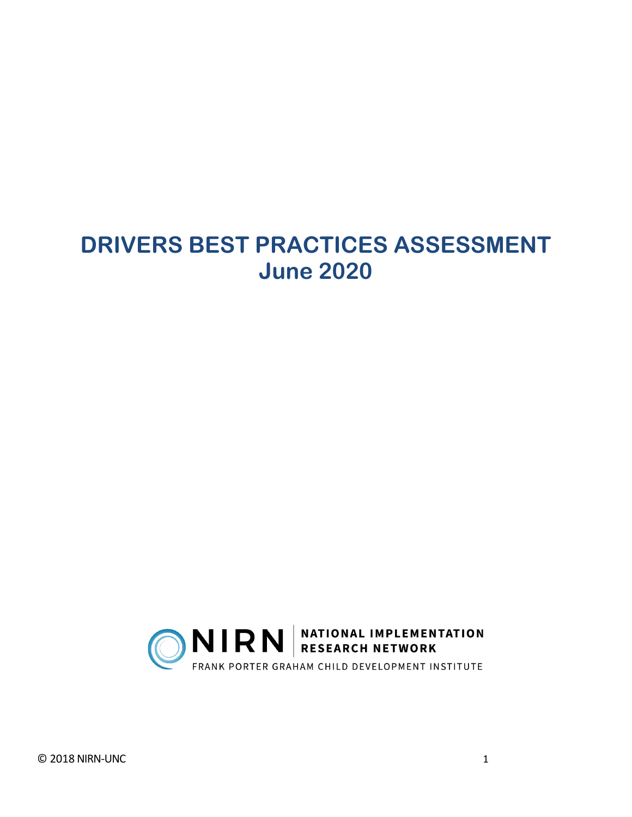# **DRIVERS BEST PRACTICES ASSESSMENT June 2020**

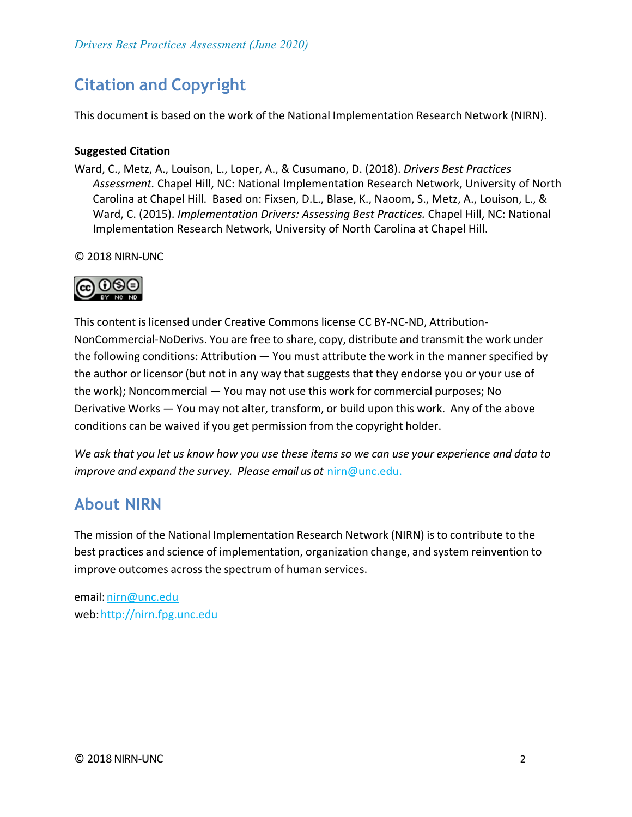## **Citation and Copyright**

This document is based on the work of the National Implementation Research Network (NIRN).

#### **Suggested Citation**

Ward, C., Metz, A., Louison, L., Loper, A., & Cusumano, D. (2018). *Drivers Best Practices Assessment.* Chapel Hill, NC: National Implementation Research Network, University of North Carolina at Chapel Hill. Based on: Fixsen, D.L., Blase, K., Naoom, S., Metz, A., Louison, L., & Ward, C. (2015). *Implementation Drivers: Assessing Best Practices.* Chapel Hill, NC: National Implementation Research Network, University of North Carolina at Chapel Hill.

© 2018 NIRN-UNC



This content islicensed under Creative Commons license CC BY-NC-ND, Attribution-NonCommercial-NoDerivs. You are free to share, copy, distribute and transmit the work under the following conditions: Attribution — You must attribute the work in the manner specified by the author or licensor (but not in any way that suggests that they endorse you or your use of the work); Noncommercial — You may not use this work for commercial purposes; No Derivative Works — You may not alter, transform, or build upon this work. Any of the above conditions can be waived if you get permission from the copyright holder.

*We ask that you let us know how you use these items so we can use your experience and data to improve and expand the survey. Please email us at* [nirn@unc.edu.](mailto:nirn@unc.edu)

### **About NIRN**

The mission of the National Implementation Research Network (NIRN) isto contribute to the best practices and science of implementation, organization change, and system reinvention to improve outcomes across the spectrum of human services.

email: [nirn@unc.edu](mailto:nirn@unc.edu) web: http://nirn.fpg.unc.edu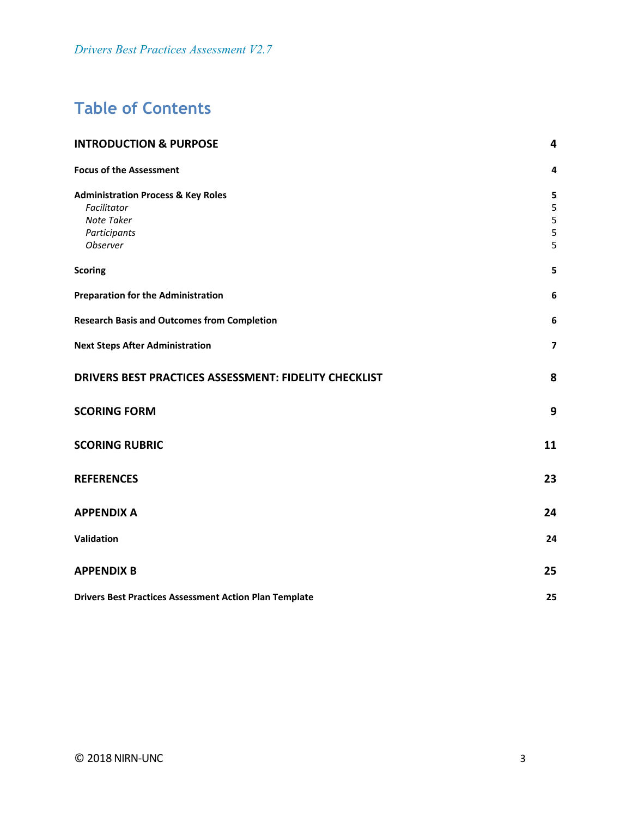## **Table of Contents**

| <b>INTRODUCTION &amp; PURPOSE</b>                             |                         |
|---------------------------------------------------------------|-------------------------|
| <b>Focus of the Assessment</b>                                | 4                       |
| <b>Administration Process &amp; Key Roles</b>                 | 5                       |
| Facilitator                                                   | 5                       |
| Note Taker                                                    | $\mathsf S$             |
| Participants                                                  | 5                       |
| Observer                                                      | 5                       |
| <b>Scoring</b>                                                | 5                       |
| <b>Preparation for the Administration</b>                     | 6                       |
| <b>Research Basis and Outcomes from Completion</b>            | 6                       |
| <b>Next Steps After Administration</b>                        | $\overline{\mathbf{z}}$ |
| DRIVERS BEST PRACTICES ASSESSMENT: FIDELITY CHECKLIST         | 8                       |
| <b>SCORING FORM</b>                                           | 9                       |
| <b>SCORING RUBRIC</b>                                         | 11                      |
| <b>REFERENCES</b>                                             | 23                      |
| <b>APPENDIX A</b>                                             | 24                      |
| Validation                                                    | 24                      |
| <b>APPENDIX B</b>                                             | 25                      |
| <b>Drivers Best Practices Assessment Action Plan Template</b> | 25                      |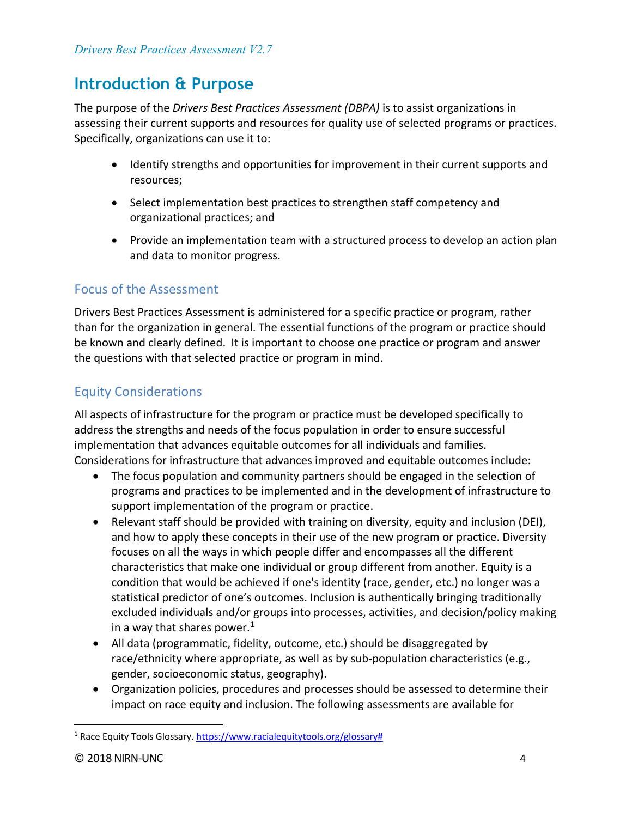## <span id="page-3-0"></span>**Introduction & Purpose**

The purpose of the *Drivers Best Practices Assessment (DBPA)* is to assist organizations in assessing their current supports and resources for quality use of selected programs or practices. Specifically, organizations can use it to:

- Identify strengths and opportunities for improvement in their current supports and resources;
- Select implementation best practices to strengthen staff competency and organizational practices; and
- Provide an implementation team with a structured process to develop an action plan and data to monitor progress.

### <span id="page-3-1"></span>Focus of the Assessment

Drivers Best Practices Assessment is administered for a specific practice or program, rather than for the organization in general. The essential functions of the program or practice should be known and clearly defined. It is important to choose one practice or program and answer the questions with that selected practice or program in mind.

### Equity Considerations

All aspects of infrastructure for the program or practice must be developed specifically to address the strengths and needs of the focus population in order to ensure successful implementation that advances equitable outcomes for all individuals and families. Considerations for infrastructure that advances improved and equitable outcomes include:

- The focus population and community partners should be engaged in the selection of programs and practices to be implemented and in the development of infrastructure to support implementation of the program or practice.
- Relevant staff should be provided with training on diversity, equity and inclusion (DEI), and how to apply these concepts in their use of the new program or practice. Diversity focuses on all the ways in which people differ and encompasses all the different characteristics that make one individual or group different from another. Equity is a condition that would be achieved if one's identity (race, gender, etc.) no longer was a statistical predictor of one's outcomes. Inclusion is authentically bringing traditionally excluded individuals and/or groups into processes, activities, and decision/policy making in a way that shares power. $1$
- All data (programmatic, fidelity, outcome, etc.) should be disaggregated by race/ethnicity where appropriate, as well as by sub-population characteristics (e.g., gender, socioeconomic status, geography).
- Organization policies, procedures and processes should be assessed to determine their impact on race equity and inclusion. The following assessments are available for

<span id="page-3-2"></span> $\overline{\phantom{a}}$ <sup>1</sup> Race Equity Tools Glossary. [https://www.racialequitytools.org/glossary#](https://www.racialequitytools.org/glossary)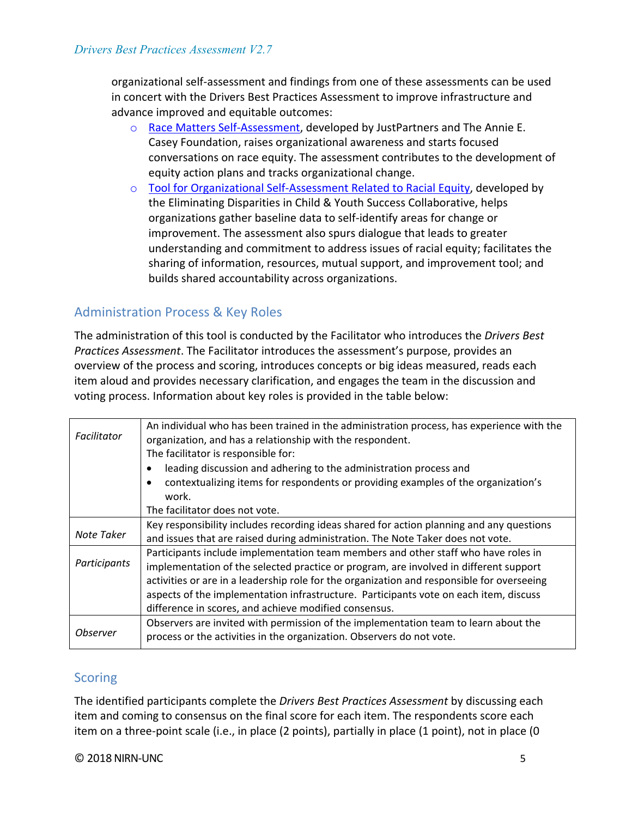organizational self-assessment and findings from one of these assessments can be used in concert with the Drivers Best Practices Assessment to improve infrastructure and advance improved and equitable outcomes:

- o [Race Matters Self-Assessment,](https://www.aecf.org/m/resourcedoc/aecf-RACEMATTERSorgselfassessment-2006.pdf) developed by JustPartners and The Annie E. Casey Foundation, raises organizational awareness and starts focused conversations on race equity. The assessment contributes to the development of equity action plans and tracks organizational change.
- o [Tool for Organizational Self-Assessment Related to Racial Equity,](https://racc.org/wp-content/uploads/buildingblocks/foundation/CCC%20-%20Tool%20for%20Organizational%20Self-Assessment%20Related%20to%20Racial%20Equity.pdf) developed by the Eliminating Disparities in Child & Youth Success Collaborative, helps organizations gather baseline data to self-identify areas for change or improvement. The assessment also spurs dialogue that leads to greater understanding and commitment to address issues of racial equity; facilitates the sharing of information, resources, mutual support, and improvement tool; and builds shared accountability across organizations.

### <span id="page-4-0"></span>Administration Process & Key Roles

The administration of this tool is conducted by the Facilitator who introduces the *Drivers Best Practices Assessment*. The Facilitator introduces the assessment's purpose, provides an overview of the process and scoring, introduces concepts or big ideas measured, reads each item aloud and provides necessary clarification, and engages the team in the discussion and voting process. Information about key roles is provided in the table below:

<span id="page-4-2"></span><span id="page-4-1"></span>

| Facilitator     | An individual who has been trained in the administration process, has experience with the<br>organization, and has a relationship with the respondent.<br>The facilitator is responsible for: |  |  |  |
|-----------------|-----------------------------------------------------------------------------------------------------------------------------------------------------------------------------------------------|--|--|--|
|                 | leading discussion and adhering to the administration process and                                                                                                                             |  |  |  |
|                 | contextualizing items for respondents or providing examples of the organization's<br>$\bullet$                                                                                                |  |  |  |
|                 | work.                                                                                                                                                                                         |  |  |  |
|                 | The facilitator does not vote.                                                                                                                                                                |  |  |  |
|                 | Key responsibility includes recording ideas shared for action planning and any questions                                                                                                      |  |  |  |
| Note Taker      | and issues that are raised during administration. The Note Taker does not vote.                                                                                                               |  |  |  |
|                 | Participants include implementation team members and other staff who have roles in                                                                                                            |  |  |  |
| Participants    | implementation of the selected practice or program, are involved in different support                                                                                                         |  |  |  |
|                 | activities or are in a leadership role for the organization and responsible for overseeing                                                                                                    |  |  |  |
|                 | aspects of the implementation infrastructure. Participants vote on each item, discuss                                                                                                         |  |  |  |
|                 | difference in scores, and achieve modified consensus.                                                                                                                                         |  |  |  |
|                 | Observers are invited with permission of the implementation team to learn about the                                                                                                           |  |  |  |
| <b>Observer</b> | process or the activities in the organization. Observers do not vote.                                                                                                                         |  |  |  |

### <span id="page-4-5"></span><span id="page-4-4"></span><span id="page-4-3"></span>**Scoring**

The identified participants complete the *Drivers Best Practices Assessment* by discussing each item and coming to consensus on the final score for each item. The respondents score each item on a three-point scale (i.e., in place (2 points), partially in place (1 point), not in place (0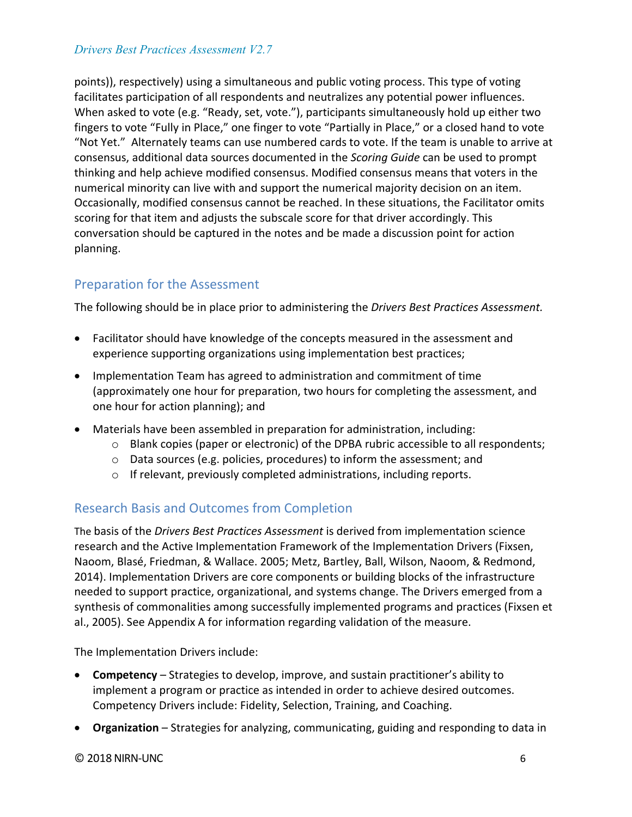points)), respectively) using a simultaneous and public voting process. This type of voting facilitates participation of all respondents and neutralizes any potential power influences. When asked to vote (e.g. "Ready, set, vote."), participants simultaneously hold up either two fingers to vote "Fully in Place," one finger to vote "Partially in Place," or a closed hand to vote "Not Yet." Alternately teams can use numbered cards to vote. If the team is unable to arrive at consensus, additional data sources documented in the *Scoring Guide* can be used to prompt thinking and help achieve modified consensus. Modified consensus means that voters in the numerical minority can live with and support the numerical majority decision on an item. Occasionally, modified consensus cannot be reached. In these situations, the Facilitator omits scoring for that item and adjusts the subscale score for that driver accordingly. This conversation should be captured in the notes and be made a discussion point for action planning.

### <span id="page-5-0"></span>Preparation for the Assessment

The following should be in place prior to administering the *Drivers Best Practices Assessment.* 

- Facilitator should have knowledge of the concepts measured in the assessment and experience supporting organizations using implementation best practices;
- Implementation Team has agreed to administration and commitment of time (approximately one hour for preparation, two hours for completing the assessment, and one hour for action planning); and
- Materials have been assembled in preparation for administration, including:
	- $\circ$  Blank copies (paper or electronic) of the DPBA rubric accessible to all respondents;
	- o Data sources (e.g. policies, procedures) to inform the assessment; and
	- o If relevant, previously completed administrations, including reports.

### <span id="page-5-1"></span>Research Basis and Outcomes from Completion

The basis of the *Drivers Best Practices Assessment* is derived from implementation science research and the Active Implementation Framework of the Implementation Drivers (Fixsen, Naoom, Blasé, Friedman, & Wallace. 2005; Metz, Bartley, Ball, Wilson, Naoom, & Redmond, 2014). Implementation Drivers are core components or building blocks of the infrastructure needed to support practice, organizational, and systems change. The Drivers emerged from a synthesis of commonalities among successfully implemented programs and practices (Fixsen et al., 2005). See Appendix A for information regarding validation of the measure.

The Implementation Drivers include:

- **Competency**  Strategies to develop, improve, and sustain practitioner's ability to implement a program or practice as intended in order to achieve desired outcomes. Competency Drivers include: Fidelity, Selection, Training, and Coaching.
- **Organization**  Strategies for analyzing, communicating, guiding and responding to data in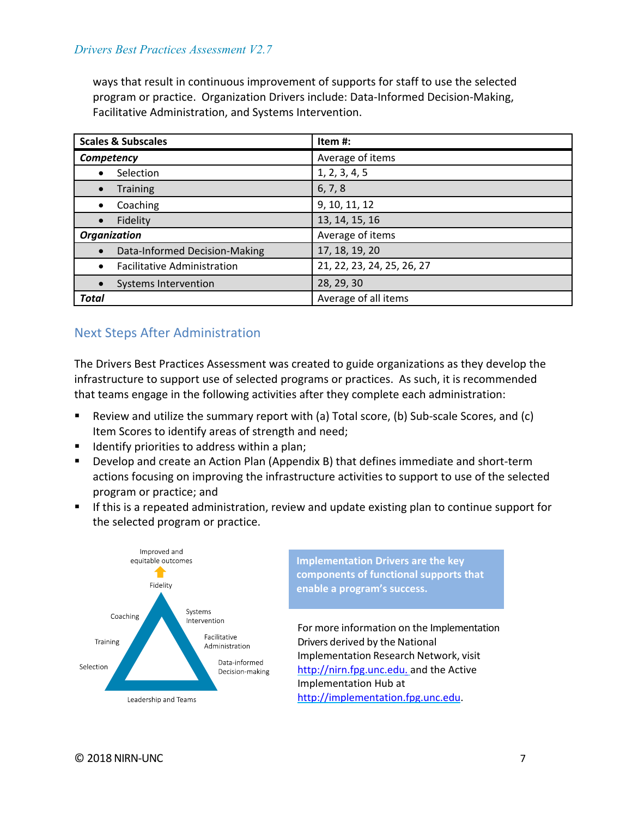ways that result in continuous improvement of supports for staff to use the selected program or practice. Organization Drivers include: Data-Informed Decision-Making, Facilitative Administration, and Systems Intervention.

| <b>Scales &amp; Subscales</b>      | Item#:                     |  |  |
|------------------------------------|----------------------------|--|--|
| Competency                         | Average of items           |  |  |
| Selection                          | 1, 2, 3, 4, 5              |  |  |
| <b>Training</b>                    | 6, 7, 8                    |  |  |
| Coaching<br>٠                      | 9, 10, 11, 12              |  |  |
| Fidelity                           | 13, 14, 15, 16             |  |  |
| <b>Organization</b>                | Average of items           |  |  |
| Data-Informed Decision-Making      | 17, 18, 19, 20             |  |  |
| <b>Facilitative Administration</b> | 21, 22, 23, 24, 25, 26, 27 |  |  |
| Systems Intervention               | 28, 29, 30                 |  |  |
| <b>Total</b>                       | Average of all items       |  |  |

### <span id="page-6-0"></span>Next Steps After Administration

The Drivers Best Practices Assessment was created to guide organizations as they develop the infrastructure to support use of selected programs or practices. As such, it is recommended that teams engage in the following activities after they complete each administration:

- Review and utilize the summary report with (a) Total score, (b) Sub-scale Scores, and (c) Item Scores to identify areas of strength and need;
- Identify priorities to address within a plan;
- Develop and create an Action Plan (Appendix B) that defines immediate and short-term actions focusing on improving the infrastructure activities to support to use of the selected program or practice; and
- If this is a repeated administration, review and update existing plan to continue support for the selected program or practice.

<span id="page-6-1"></span>

**Implementation Drivers are the key components of functional supports that enable a program's success.** 

For more information on the Implementation Drivers derived by the National Implementation Research Network, visit [http://nirn.fpg.unc.edu.](http://nirn.fpg.unc.edu./) and the Active Implementation Hub at [http://implementation.fpg.unc.edu.](http://implementation.fpg.unc.edu/)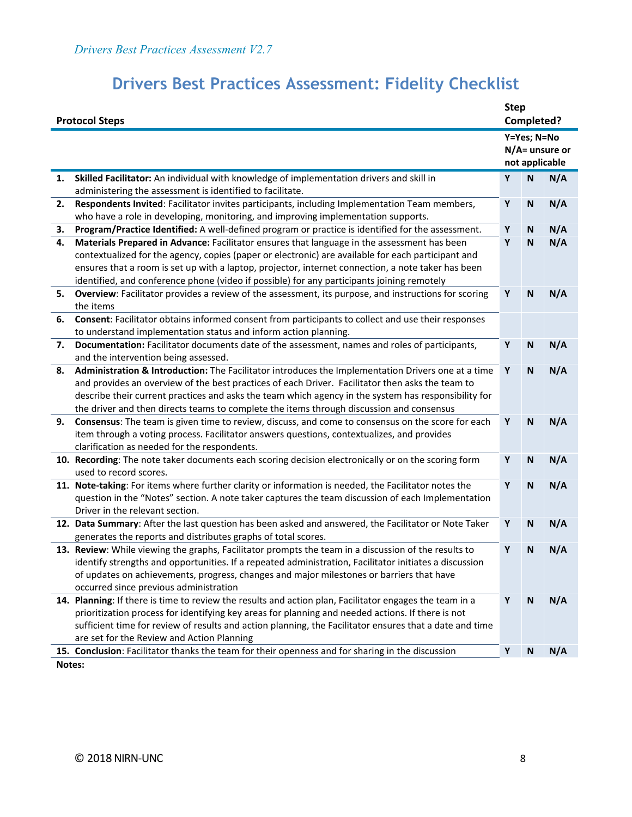| <b>Protocol Steps</b> |                                                                                                                                                                                                        | <b>Step</b> | Completed?                |                                     |
|-----------------------|--------------------------------------------------------------------------------------------------------------------------------------------------------------------------------------------------------|-------------|---------------------------|-------------------------------------|
|                       |                                                                                                                                                                                                        |             | Y=Yes; N=No               | $N/A$ = unsure or<br>not applicable |
| 1.                    | Skilled Facilitator: An individual with knowledge of implementation drivers and skill in                                                                                                               | Y           | N                         | N/A                                 |
|                       | administering the assessment is identified to facilitate.                                                                                                                                              |             |                           |                                     |
| 2.                    | Respondents Invited: Facilitator invites participants, including Implementation Team members,                                                                                                          | Y           | $\mathbf N$               | N/A                                 |
|                       | who have a role in developing, monitoring, and improving implementation supports.                                                                                                                      |             |                           |                                     |
| 3.                    | Program/Practice Identified: A well-defined program or practice is identified for the assessment.                                                                                                      | Y           | N                         | N/A                                 |
| 4.                    | Materials Prepared in Advance: Facilitator ensures that language in the assessment has been                                                                                                            | Y           | $\mathbf N$               | N/A                                 |
|                       | contextualized for the agency, copies (paper or electronic) are available for each participant and                                                                                                     |             |                           |                                     |
|                       | ensures that a room is set up with a laptop, projector, internet connection, a note taker has been                                                                                                     |             |                           |                                     |
|                       | identified, and conference phone (video if possible) for any participants joining remotely                                                                                                             |             |                           |                                     |
| 5.                    | Overview: Facilitator provides a review of the assessment, its purpose, and instructions for scoring                                                                                                   | Y           | $\mathbf N$               | N/A                                 |
|                       | the items                                                                                                                                                                                              |             |                           |                                     |
| 6.                    | Consent: Facilitator obtains informed consent from participants to collect and use their responses                                                                                                     |             |                           |                                     |
|                       | to understand implementation status and inform action planning.                                                                                                                                        |             |                           |                                     |
| 7.                    | Documentation: Facilitator documents date of the assessment, names and roles of participants,                                                                                                          | Υ           | N                         | N/A                                 |
|                       | and the intervention being assessed.                                                                                                                                                                   |             |                           |                                     |
| 8.                    | Administration & Introduction: The Facilitator introduces the Implementation Drivers one at a time<br>and provides an overview of the best practices of each Driver. Facilitator then asks the team to | Y           | $\mathbf N$               | N/A                                 |
|                       | describe their current practices and asks the team which agency in the system has responsibility for                                                                                                   |             |                           |                                     |
|                       | the driver and then directs teams to complete the items through discussion and consensus                                                                                                               |             |                           |                                     |
| 9.                    | Consensus: The team is given time to review, discuss, and come to consensus on the score for each                                                                                                      | Y           | $\mathbf N$               | N/A                                 |
|                       | item through a voting process. Facilitator answers questions, contextualizes, and provides                                                                                                             |             |                           |                                     |
|                       | clarification as needed for the respondents.                                                                                                                                                           |             |                           |                                     |
|                       | 10. Recording: The note taker documents each scoring decision electronically or on the scoring form                                                                                                    | Y           | $\mathbf N$               | N/A                                 |
|                       | used to record scores.                                                                                                                                                                                 |             |                           |                                     |
|                       | 11. Note-taking: For items where further clarity or information is needed, the Facilitator notes the                                                                                                   | Y           | N                         | N/A                                 |
|                       | question in the "Notes" section. A note taker captures the team discussion of each Implementation                                                                                                      |             |                           |                                     |
|                       | Driver in the relevant section.                                                                                                                                                                        |             |                           |                                     |
|                       | 12. Data Summary: After the last question has been asked and answered, the Facilitator or Note Taker                                                                                                   | Υ           | N                         | N/A                                 |
|                       | generates the reports and distributes graphs of total scores.                                                                                                                                          |             |                           |                                     |
|                       | 13. Review: While viewing the graphs, Facilitator prompts the team in a discussion of the results to                                                                                                   | Y           | N                         | N/A                                 |
|                       | identify strengths and opportunities. If a repeated administration, Facilitator initiates a discussion                                                                                                 |             |                           |                                     |
|                       | of updates on achievements, progress, changes and major milestones or barriers that have                                                                                                               |             |                           |                                     |
|                       | occurred since previous administration                                                                                                                                                                 |             |                           |                                     |
|                       | 14. Planning: If there is time to review the results and action plan, Facilitator engages the team in a                                                                                                | Υ           | $\boldsymbol{\mathsf{N}}$ | N/A                                 |
|                       | prioritization process for identifying key areas for planning and needed actions. If there is not                                                                                                      |             |                           |                                     |
|                       | sufficient time for review of results and action planning, the Facilitator ensures that a date and time                                                                                                |             |                           |                                     |
|                       | are set for the Review and Action Planning                                                                                                                                                             |             |                           |                                     |
|                       | 15. Conclusion: Facilitator thanks the team for their openness and for sharing in the discussion                                                                                                       | Υ           | N                         | N/A                                 |
| Notes:                |                                                                                                                                                                                                        |             |                           |                                     |

## **Drivers Best Practices Assessment: Fidelity Checklist**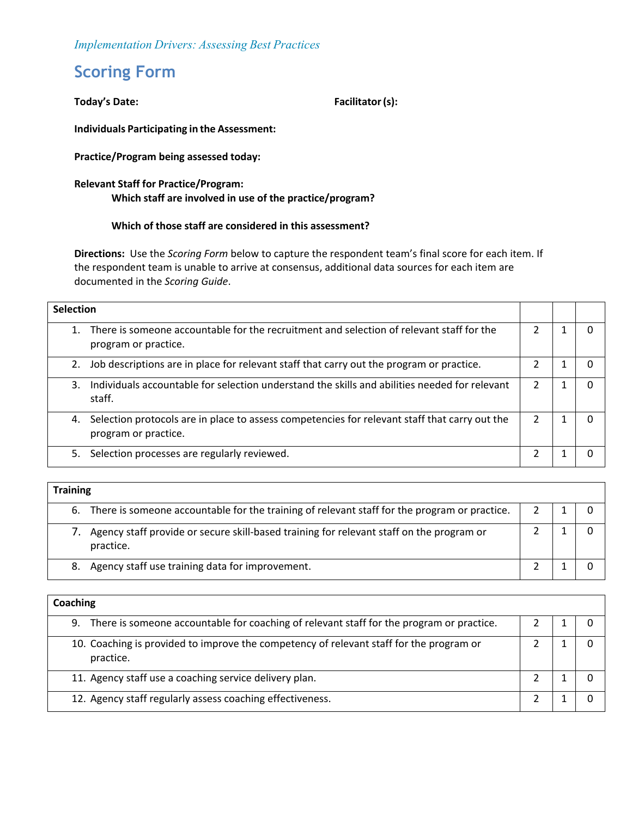*Implementation Drivers: Assessing Best Practices*

## <span id="page-8-0"></span>**Scoring Form**

#### Today's Date: **Facilitator (s)**:

**Individuals Participating in the Assessment:**

**Practice/Program being assessed today:** 

#### **Relevant Staff for Practice/Program: Which staff are involved in use of the practice/program?**

#### **Which of those staff are considered in this assessment?**

**Directions:** Use the *Scoring Form* below to capture the respondent team's final score for each item. If the respondent team is unable to arrive at consensus, additional data sources for each item are documented in the *Scoring Guide*.

| <b>Selection</b> |                                                                                                                       |  |  |  |  |
|------------------|-----------------------------------------------------------------------------------------------------------------------|--|--|--|--|
|                  | There is someone accountable for the recruitment and selection of relevant staff for the<br>program or practice.      |  |  |  |  |
| 2.               | Job descriptions are in place for relevant staff that carry out the program or practice.                              |  |  |  |  |
| 3.               | Individuals accountable for selection understand the skills and abilities needed for relevant<br>staff.               |  |  |  |  |
| 4.               | Selection protocols are in place to assess competencies for relevant staff that carry out the<br>program or practice. |  |  |  |  |
|                  | Selection processes are regularly reviewed.<br>5.                                                                     |  |  |  |  |

| <b>Training</b>                                                                                       |  |  |  |  |  |  |
|-------------------------------------------------------------------------------------------------------|--|--|--|--|--|--|
| 6. There is someone accountable for the training of relevant staff for the program or practice.       |  |  |  |  |  |  |
| Agency staff provide or secure skill-based training for relevant staff on the program or<br>practice. |  |  |  |  |  |  |
| 8. Agency staff use training data for improvement.                                                    |  |  |  |  |  |  |

| Coaching                                                                                             |  |  |  |  |  |
|------------------------------------------------------------------------------------------------------|--|--|--|--|--|
| There is someone accountable for coaching of relevant staff for the program or practice.<br>9.       |  |  |  |  |  |
| 10. Coaching is provided to improve the competency of relevant staff for the program or<br>practice. |  |  |  |  |  |
| 11. Agency staff use a coaching service delivery plan.                                               |  |  |  |  |  |
| 12. Agency staff regularly assess coaching effectiveness.                                            |  |  |  |  |  |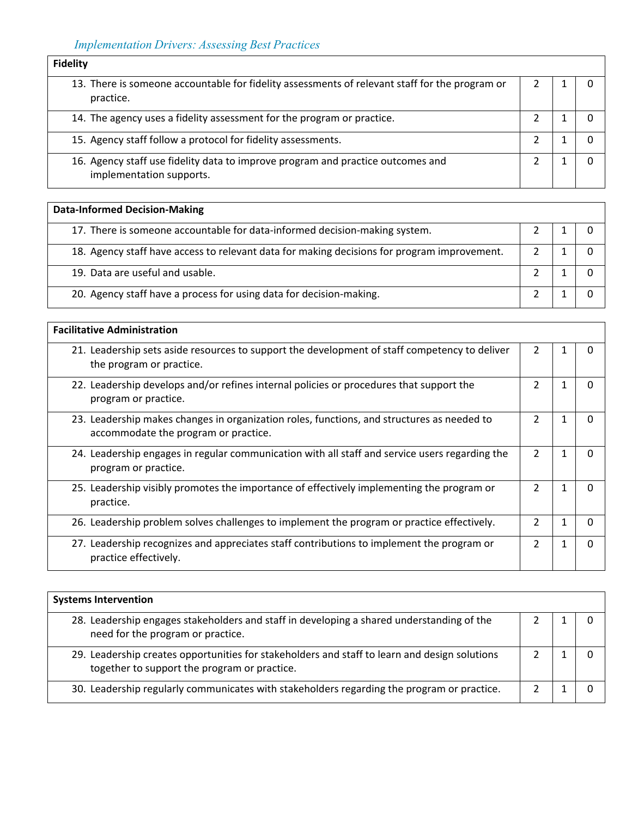| <b>Fidelity</b>                                                                                             |  |  |
|-------------------------------------------------------------------------------------------------------------|--|--|
| 13. There is someone accountable for fidelity assessments of relevant staff for the program or<br>practice. |  |  |
| 14. The agency uses a fidelity assessment for the program or practice.                                      |  |  |
| 15. Agency staff follow a protocol for fidelity assessments.                                                |  |  |
| 16. Agency staff use fidelity data to improve program and practice outcomes and<br>implementation supports. |  |  |

| <b>Data-Informed Decision-Making</b>                                                        |  |  |  |  |  |
|---------------------------------------------------------------------------------------------|--|--|--|--|--|
| 17. There is someone accountable for data-informed decision-making system.                  |  |  |  |  |  |
| 18. Agency staff have access to relevant data for making decisions for program improvement. |  |  |  |  |  |
| 19. Data are useful and usable.                                                             |  |  |  |  |  |
| 20. Agency staff have a process for using data for decision-making.                         |  |  |  |  |  |

| <b>Facilitative Administration</b>                                                                                                 |                |  |   |  |  |
|------------------------------------------------------------------------------------------------------------------------------------|----------------|--|---|--|--|
| 21. Leadership sets aside resources to support the development of staff competency to deliver<br>the program or practice.          | 2              |  | 0 |  |  |
| 22. Leadership develops and/or refines internal policies or procedures that support the<br>program or practice.                    | 2              |  | 0 |  |  |
| 23. Leadership makes changes in organization roles, functions, and structures as needed to<br>accommodate the program or practice. | $\mathfrak{p}$ |  | 0 |  |  |
| 24. Leadership engages in regular communication with all staff and service users regarding the<br>program or practice.             | 2              |  | 0 |  |  |
| 25. Leadership visibly promotes the importance of effectively implementing the program or<br>practice.                             | $\mathfrak z$  |  | 0 |  |  |
| 26. Leadership problem solves challenges to implement the program or practice effectively.                                         | C              |  | 0 |  |  |
| 27. Leadership recognizes and appreciates staff contributions to implement the program or<br>practice effectively.                 | $\mathfrak{p}$ |  | 0 |  |  |

| <b>Systems Intervention</b>                                                                                                                   |  |  |  |  |  |
|-----------------------------------------------------------------------------------------------------------------------------------------------|--|--|--|--|--|
| 28. Leadership engages stakeholders and staff in developing a shared understanding of the<br>need for the program or practice.                |  |  |  |  |  |
| 29. Leadership creates opportunities for stakeholders and staff to learn and design solutions<br>together to support the program or practice. |  |  |  |  |  |
| 30. Leadership regularly communicates with stakeholders regarding the program or practice.                                                    |  |  |  |  |  |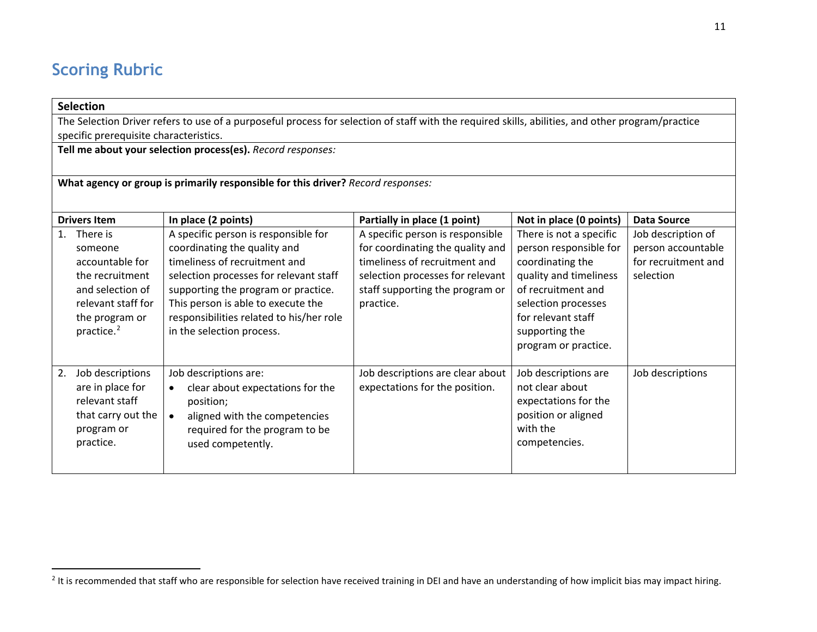## <span id="page-10-1"></span>**Scoring Rubric**

#### **Selection**

 $\overline{a}$ 

The Selection Driver refers to use of a purposeful process for selection of staff with the required skills, abilities, and other program/practice specific prerequisite characteristics.

**Tell me about your selection process(es).** *Record responses:*

**What agency or group is primarily responsible for this driver?** *Record responses:*

<span id="page-10-0"></span>

|                | <b>Drivers Item</b>                                                                                                                             | In place (2 points)                                                                                                                                                                                                                                                                                   | Partially in place (1 point)                                                                                                                                                              | Not in place (0 points)                                                                                                                                                                                      | Data Source                                                                  |
|----------------|-------------------------------------------------------------------------------------------------------------------------------------------------|-------------------------------------------------------------------------------------------------------------------------------------------------------------------------------------------------------------------------------------------------------------------------------------------------------|-------------------------------------------------------------------------------------------------------------------------------------------------------------------------------------------|--------------------------------------------------------------------------------------------------------------------------------------------------------------------------------------------------------------|------------------------------------------------------------------------------|
| $\mathbf{1}$ . | There is<br>someone<br>accountable for<br>the recruitment<br>and selection of<br>relevant staff for<br>the program or<br>practice. <sup>2</sup> | A specific person is responsible for<br>coordinating the quality and<br>timeliness of recruitment and<br>selection processes for relevant staff<br>supporting the program or practice.<br>This person is able to execute the<br>responsibilities related to his/her role<br>in the selection process. | A specific person is responsible<br>for coordinating the quality and<br>timeliness of recruitment and<br>selection processes for relevant<br>staff supporting the program or<br>practice. | There is not a specific<br>person responsible for<br>coordinating the<br>quality and timeliness<br>of recruitment and<br>selection processes<br>for relevant staff<br>supporting the<br>program or practice. | Job description of<br>person accountable<br>for recruitment and<br>selection |
| 2.             | Job descriptions<br>are in place for<br>relevant staff<br>that carry out the<br>program or<br>practice.                                         | Job descriptions are:<br>clear about expectations for the<br>position;<br>aligned with the competencies<br>required for the program to be<br>used competently.                                                                                                                                        | Job descriptions are clear about<br>expectations for the position.                                                                                                                        | Job descriptions are<br>not clear about<br>expectations for the<br>position or aligned<br>with the<br>competencies.                                                                                          | Job descriptions                                                             |

<sup>&</sup>lt;sup>2</sup> It is recommended that staff who are responsible for selection have received training in DEI and have an understanding of how implicit bias may impact hiring.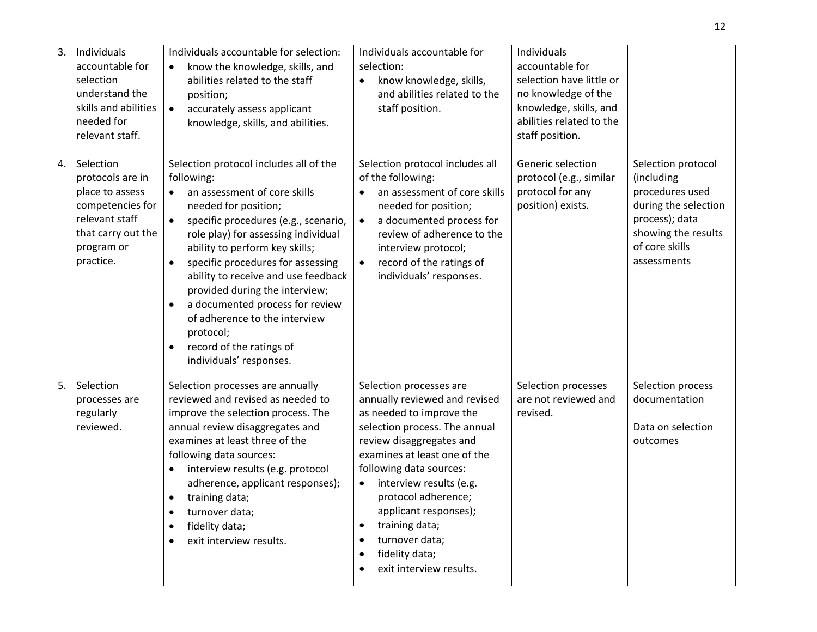| 3. | Individuals<br>accountable for<br>selection<br>understand the<br>skills and abilities<br>needed for<br>relevant staff.                  | Individuals accountable for selection:<br>know the knowledge, skills, and<br>abilities related to the staff<br>position;<br>accurately assess applicant<br>$\bullet$<br>knowledge, skills, and abilities.                                                                                                                                                                                                                                                                                                                               | Individuals accountable for<br>selection:<br>know knowledge, skills,<br>$\bullet$<br>and abilities related to the<br>staff position.                                                                                                                                                                                                                                                  | Individuals<br>accountable for<br>selection have little or<br>no knowledge of the<br>knowledge, skills, and<br>abilities related to the<br>staff position. |                                                                                                                                                       |
|----|-----------------------------------------------------------------------------------------------------------------------------------------|-----------------------------------------------------------------------------------------------------------------------------------------------------------------------------------------------------------------------------------------------------------------------------------------------------------------------------------------------------------------------------------------------------------------------------------------------------------------------------------------------------------------------------------------|---------------------------------------------------------------------------------------------------------------------------------------------------------------------------------------------------------------------------------------------------------------------------------------------------------------------------------------------------------------------------------------|------------------------------------------------------------------------------------------------------------------------------------------------------------|-------------------------------------------------------------------------------------------------------------------------------------------------------|
| 4. | Selection<br>protocols are in<br>place to assess<br>competencies for<br>relevant staff<br>that carry out the<br>program or<br>practice. | Selection protocol includes all of the<br>following:<br>an assessment of core skills<br>$\bullet$<br>needed for position;<br>specific procedures (e.g., scenario,<br>$\bullet$<br>role play) for assessing individual<br>ability to perform key skills;<br>specific procedures for assessing<br>ability to receive and use feedback<br>provided during the interview;<br>a documented process for review<br>$\bullet$<br>of adherence to the interview<br>protocol;<br>record of the ratings of<br>$\bullet$<br>individuals' responses. | Selection protocol includes all<br>of the following:<br>an assessment of core skills<br>$\bullet$<br>needed for position;<br>a documented process for<br>$\bullet$<br>review of adherence to the<br>interview protocol;<br>record of the ratings of<br>$\bullet$<br>individuals' responses.                                                                                           | Generic selection<br>protocol (e.g., similar<br>protocol for any<br>position) exists.                                                                      | Selection protocol<br>(including<br>procedures used<br>during the selection<br>process); data<br>showing the results<br>of core skills<br>assessments |
| 5. | Selection<br>processes are<br>regularly<br>reviewed.                                                                                    | Selection processes are annually<br>reviewed and revised as needed to<br>improve the selection process. The<br>annual review disaggregates and<br>examines at least three of the<br>following data sources:<br>interview results (e.g. protocol<br>adherence, applicant responses);<br>training data;<br>turnover data;<br>fidelity data;<br>$\bullet$<br>exit interview results.                                                                                                                                                       | Selection processes are<br>annually reviewed and revised<br>as needed to improve the<br>selection process. The annual<br>review disaggregates and<br>examines at least one of the<br>following data sources:<br>interview results (e.g.<br>$\bullet$<br>protocol adherence;<br>applicant responses);<br>training data;<br>turnover data;<br>fidelity data;<br>exit interview results. | Selection processes<br>are not reviewed and<br>revised.                                                                                                    | Selection process<br>documentation<br>Data on selection<br>outcomes                                                                                   |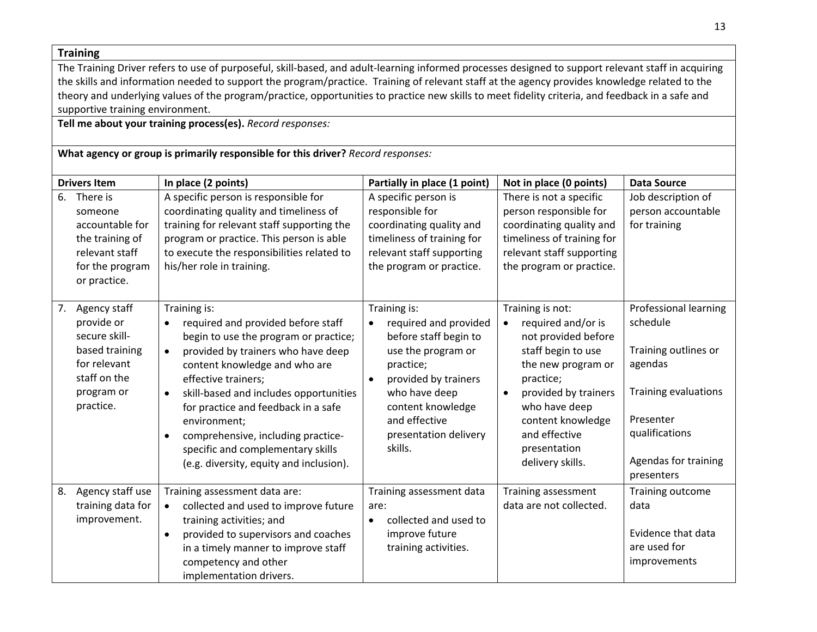**Training**

The Training Driver refers to use of purposeful, skill-based, and adult-learning informed processes designed to support relevant staff in acquiring the skills and information needed to support the program/practice. Training of relevant staff at the agency provides knowledge related to the theory and underlying values of the program/practice, opportunities to practice new skills to meet fidelity criteria, and feedback in a safe and supportive training environment.

**Tell me about your training process(es).** *Record responses:*

#### **What agency or group is primarily responsible for this driver?** *Record responses:*

|    | <b>Drivers Item</b>                                                                                                      | In place (2 points)                                                                                                                                                                                                                                                                                                                                                                                                                                                  | Partially in place (1 point)                                                                                                                                                                                                      | Not in place (0 points)                                                                                                                                                                                                                   | <b>Data Source</b>                                                                                                                                                              |
|----|--------------------------------------------------------------------------------------------------------------------------|----------------------------------------------------------------------------------------------------------------------------------------------------------------------------------------------------------------------------------------------------------------------------------------------------------------------------------------------------------------------------------------------------------------------------------------------------------------------|-----------------------------------------------------------------------------------------------------------------------------------------------------------------------------------------------------------------------------------|-------------------------------------------------------------------------------------------------------------------------------------------------------------------------------------------------------------------------------------------|---------------------------------------------------------------------------------------------------------------------------------------------------------------------------------|
| 6. | There is<br>someone<br>accountable for<br>the training of<br>relevant staff<br>for the program<br>or practice.           | A specific person is responsible for<br>coordinating quality and timeliness of<br>training for relevant staff supporting the<br>program or practice. This person is able<br>to execute the responsibilities related to<br>his/her role in training.                                                                                                                                                                                                                  | A specific person is<br>responsible for<br>coordinating quality and<br>timeliness of training for<br>relevant staff supporting<br>the program or practice.                                                                        | There is not a specific<br>person responsible for<br>coordinating quality and<br>timeliness of training for<br>relevant staff supporting<br>the program or practice.                                                                      | Job description of<br>person accountable<br>for training                                                                                                                        |
| 7. | Agency staff<br>provide or<br>secure skill-<br>based training<br>for relevant<br>staff on the<br>program or<br>practice. | Training is:<br>required and provided before staff<br>$\bullet$<br>begin to use the program or practice;<br>provided by trainers who have deep<br>$\bullet$<br>content knowledge and who are<br>effective trainers;<br>skill-based and includes opportunities<br>$\bullet$<br>for practice and feedback in a safe<br>environment;<br>comprehensive, including practice-<br>$\bullet$<br>specific and complementary skills<br>(e.g. diversity, equity and inclusion). | Training is:<br>required and provided<br>before staff begin to<br>use the program or<br>practice;<br>provided by trainers<br>$\bullet$<br>who have deep<br>content knowledge<br>and effective<br>presentation delivery<br>skills. | Training is not:<br>required and/or is<br>not provided before<br>staff begin to use<br>the new program or<br>practice;<br>provided by trainers<br>who have deep<br>content knowledge<br>and effective<br>presentation<br>delivery skills. | <b>Professional learning</b><br>schedule<br>Training outlines or<br>agendas<br><b>Training evaluations</b><br>Presenter<br>qualifications<br>Agendas for training<br>presenters |
| 8. | Agency staff use<br>training data for<br>improvement.                                                                    | Training assessment data are:<br>collected and used to improve future<br>$\bullet$<br>training activities; and<br>provided to supervisors and coaches<br>$\bullet$<br>in a timely manner to improve staff<br>competency and other<br>implementation drivers.                                                                                                                                                                                                         | Training assessment data<br>are:<br>collected and used to<br>improve future<br>training activities.                                                                                                                               | Training assessment<br>data are not collected.                                                                                                                                                                                            | Training outcome<br>data<br>Evidence that data<br>are used for<br>improvements                                                                                                  |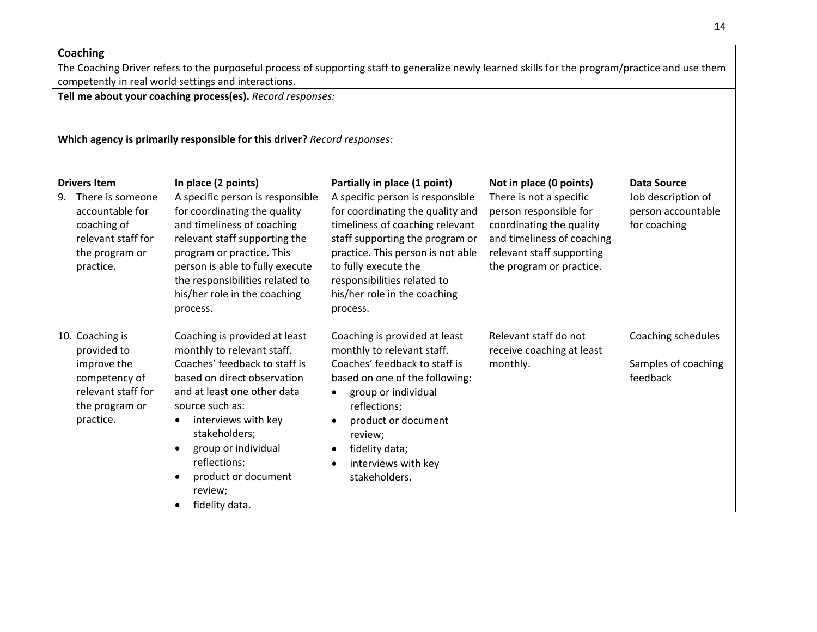#### **Coaching**

The Coaching Driver refers to the purposeful process of supporting staff to generalize newly learned skills for the program/practice and use them competently in real world settings and interactions.

**Tell me about your coaching process(es).** *Record responses:*

**Which agency is primarily responsible for this driver?** *Record responses:*

| <b>Drivers Item</b>                                                                                                 | In place (2 points)                                                                                                                                                                                                                                                                                              | Partially in place (1 point)                                                                                                                                                                                                                                                       | Not in place (0 points)                                                                                                                                              | <b>Data Source</b>                                       |
|---------------------------------------------------------------------------------------------------------------------|------------------------------------------------------------------------------------------------------------------------------------------------------------------------------------------------------------------------------------------------------------------------------------------------------------------|------------------------------------------------------------------------------------------------------------------------------------------------------------------------------------------------------------------------------------------------------------------------------------|----------------------------------------------------------------------------------------------------------------------------------------------------------------------|----------------------------------------------------------|
| 9.<br>There is someone<br>accountable for<br>coaching of<br>relevant staff for<br>the program or<br>practice.       | A specific person is responsible<br>for coordinating the quality<br>and timeliness of coaching<br>relevant staff supporting the<br>program or practice. This<br>person is able to fully execute<br>the responsibilities related to<br>his/her role in the coaching<br>process.                                   | A specific person is responsible<br>for coordinating the quality and<br>timeliness of coaching relevant<br>staff supporting the program or<br>practice. This person is not able<br>to fully execute the<br>responsibilities related to<br>his/her role in the coaching<br>process. | There is not a specific<br>person responsible for<br>coordinating the quality<br>and timeliness of coaching<br>relevant staff supporting<br>the program or practice. | Job description of<br>person accountable<br>for coaching |
| 10. Coaching is<br>provided to<br>improve the<br>competency of<br>relevant staff for<br>the program or<br>practice. | Coaching is provided at least<br>monthly to relevant staff.<br>Coaches' feedback to staff is<br>based on direct observation<br>and at least one other data<br>source such as:<br>interviews with key<br>stakeholders;<br>group or individual<br>reflections;<br>product or document<br>review;<br>fidelity data. | Coaching is provided at least<br>monthly to relevant staff.<br>Coaches' feedback to staff is<br>based on one of the following:<br>group or individual<br>reflections;<br>product or document<br>review;<br>fidelity data;<br>$\bullet$<br>interviews with key<br>stakeholders.     | Relevant staff do not<br>receive coaching at least<br>monthly.                                                                                                       | Coaching schedules<br>Samples of coaching<br>feedback    |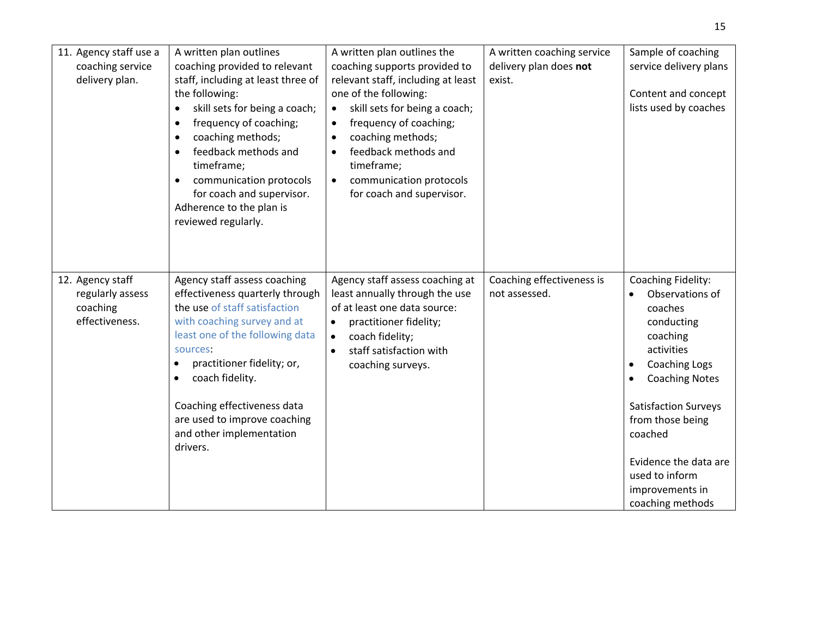| 11. Agency staff use a<br>coaching service<br>delivery plan.       | A written plan outlines<br>coaching provided to relevant<br>staff, including at least three of<br>the following:<br>skill sets for being a coach;<br>$\bullet$<br>frequency of coaching;<br>$\bullet$<br>coaching methods;<br>feedback methods and<br>$\bullet$<br>timeframe;<br>communication protocols<br>for coach and supervisor.<br>Adherence to the plan is<br>reviewed regularly. | A written plan outlines the<br>coaching supports provided to<br>relevant staff, including at least<br>one of the following:<br>skill sets for being a coach;<br>$\bullet$<br>frequency of coaching;<br>$\bullet$<br>coaching methods;<br>feedback methods and<br>$\bullet$<br>timeframe;<br>communication protocols<br>$\bullet$<br>for coach and supervisor. | A written coaching service<br>delivery plan does not<br>exist. | Sample of coaching<br>service delivery plans<br>Content and concept<br>lists used by coaches                                                                                                                                                                                                           |
|--------------------------------------------------------------------|------------------------------------------------------------------------------------------------------------------------------------------------------------------------------------------------------------------------------------------------------------------------------------------------------------------------------------------------------------------------------------------|---------------------------------------------------------------------------------------------------------------------------------------------------------------------------------------------------------------------------------------------------------------------------------------------------------------------------------------------------------------|----------------------------------------------------------------|--------------------------------------------------------------------------------------------------------------------------------------------------------------------------------------------------------------------------------------------------------------------------------------------------------|
| 12. Agency staff<br>regularly assess<br>coaching<br>effectiveness. | Agency staff assess coaching<br>effectiveness quarterly through<br>the use of staff satisfaction<br>with coaching survey and at<br>least one of the following data<br>sources:<br>practitioner fidelity; or,<br>$\bullet$<br>coach fidelity.<br>$\bullet$<br>Coaching effectiveness data<br>are used to improve coaching<br>and other implementation<br>drivers.                         | Agency staff assess coaching at<br>least annually through the use<br>of at least one data source:<br>practitioner fidelity;<br>$\bullet$<br>coach fidelity;<br>$\bullet$<br>staff satisfaction with<br>$\bullet$<br>coaching surveys.                                                                                                                         | Coaching effectiveness is<br>not assessed.                     | Coaching Fidelity:<br>Observations of<br>coaches<br>conducting<br>coaching<br>activities<br><b>Coaching Logs</b><br>$\bullet$<br><b>Coaching Notes</b><br><b>Satisfaction Surveys</b><br>from those being<br>coached<br>Evidence the data are<br>used to inform<br>improvements in<br>coaching methods |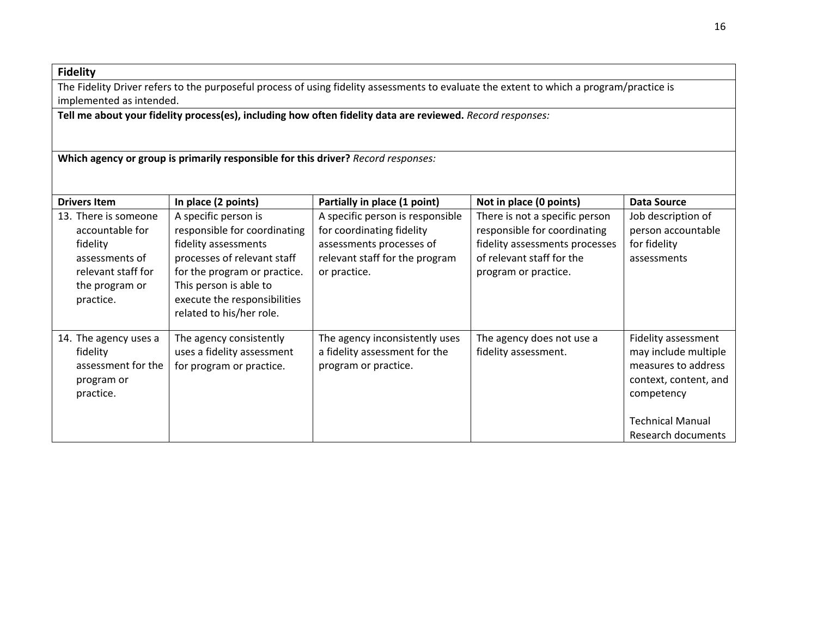#### **Fidelity**

The Fidelity Driver refers to the purposeful process of using fidelity assessments to evaluate the extent to which a program/practice is implemented as intended.

**Tell me about your fidelity process(es), including how often fidelity data are reviewed.** *Record responses:*

**Which agency or group is primarily responsible for this driver?** *Record responses:*

| <b>Drivers Item</b>                                                                                                        | In place (2 points)                                                                                                                                                                                                               | Partially in place (1 point)                                                                                                                | Not in place (0 points)                                                                                                                               | <b>Data Source</b>                                                                                                                                         |
|----------------------------------------------------------------------------------------------------------------------------|-----------------------------------------------------------------------------------------------------------------------------------------------------------------------------------------------------------------------------------|---------------------------------------------------------------------------------------------------------------------------------------------|-------------------------------------------------------------------------------------------------------------------------------------------------------|------------------------------------------------------------------------------------------------------------------------------------------------------------|
| 13. There is someone<br>accountable for<br>fidelity<br>assessments of<br>relevant staff for<br>the program or<br>practice. | A specific person is<br>responsible for coordinating<br>fidelity assessments<br>processes of relevant staff<br>for the program or practice.<br>This person is able to<br>execute the responsibilities<br>related to his/her role. | A specific person is responsible<br>for coordinating fidelity<br>assessments processes of<br>relevant staff for the program<br>or practice. | There is not a specific person<br>responsible for coordinating<br>fidelity assessments processes<br>of relevant staff for the<br>program or practice. | Job description of<br>person accountable<br>for fidelity<br>assessments                                                                                    |
| 14. The agency uses a<br>fidelity<br>assessment for the<br>program or<br>practice.                                         | The agency consistently<br>uses a fidelity assessment<br>for program or practice.                                                                                                                                                 | The agency inconsistently uses<br>a fidelity assessment for the<br>program or practice.                                                     | The agency does not use a<br>fidelity assessment.                                                                                                     | Fidelity assessment<br>may include multiple<br>measures to address<br>context, content, and<br>competency<br><b>Technical Manual</b><br>Research documents |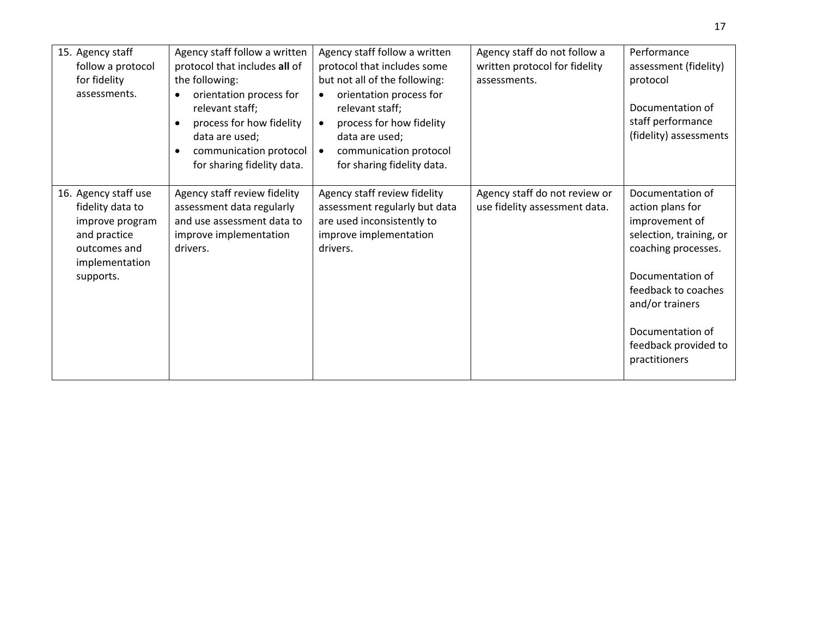| 15. Agency staff<br>follow a protocol<br>for fidelity                                                                      | Agency staff follow a written<br>protocol that includes all of<br>the following:                                                                              | Agency staff follow a written<br>protocol that includes some<br>but not all of the following:                                                                              | Agency staff do not follow a<br>written protocol for fidelity<br>assessments. | Performance<br>assessment (fidelity)<br>protocol                                                                                                                                                                                    |
|----------------------------------------------------------------------------------------------------------------------------|---------------------------------------------------------------------------------------------------------------------------------------------------------------|----------------------------------------------------------------------------------------------------------------------------------------------------------------------------|-------------------------------------------------------------------------------|-------------------------------------------------------------------------------------------------------------------------------------------------------------------------------------------------------------------------------------|
| assessments.                                                                                                               | orientation process for<br>relevant staff;<br>process for how fidelity<br>data are used;<br>communication protocol<br>$\bullet$<br>for sharing fidelity data. | orientation process for<br>$\bullet$<br>relevant staff;<br>process for how fidelity<br>data are used;<br>communication protocol<br>$\bullet$<br>for sharing fidelity data. |                                                                               | Documentation of<br>staff performance<br>(fidelity) assessments                                                                                                                                                                     |
| 16. Agency staff use<br>fidelity data to<br>improve program<br>and practice<br>outcomes and<br>implementation<br>supports. | Agency staff review fidelity<br>assessment data regularly<br>and use assessment data to<br>improve implementation<br>drivers.                                 | Agency staff review fidelity<br>assessment regularly but data<br>are used inconsistently to<br>improve implementation<br>drivers.                                          | Agency staff do not review or<br>use fidelity assessment data.                | Documentation of<br>action plans for<br>improvement of<br>selection, training, or<br>coaching processes.<br>Documentation of<br>feedback to coaches<br>and/or trainers<br>Documentation of<br>feedback provided to<br>practitioners |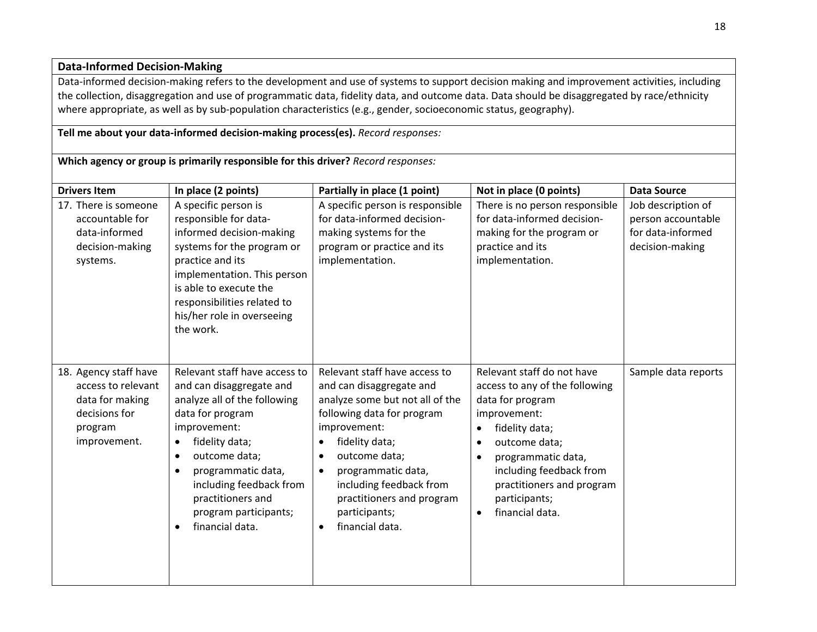#### **Data-Informed Decision-Making**

Data-informed decision-making refers to the development and use of systems to support decision making and improvement activities, including the collection, disaggregation and use of programmatic data, fidelity data, and outcome data. Data should be disaggregated by race/ethnicity where appropriate, as well as by sub-population characteristics (e.g., gender, socioeconomic status, geography).

#### **Tell me about your data-informed decision-making process(es).** *Record responses:*

**Which agency or group is primarily responsible for this driver?** *Record responses:*

| <b>Drivers Item</b>                                                                                        | In place (2 points)                                                                                                                                                                                                                                                                                                                    | Partially in place (1 point)                                                                                                                                                                                                                                                                                                                        | Not in place (0 points)                                                                                                                                                                                                                                                                                   | <b>Data Source</b>                                                               |
|------------------------------------------------------------------------------------------------------------|----------------------------------------------------------------------------------------------------------------------------------------------------------------------------------------------------------------------------------------------------------------------------------------------------------------------------------------|-----------------------------------------------------------------------------------------------------------------------------------------------------------------------------------------------------------------------------------------------------------------------------------------------------------------------------------------------------|-----------------------------------------------------------------------------------------------------------------------------------------------------------------------------------------------------------------------------------------------------------------------------------------------------------|----------------------------------------------------------------------------------|
| 17. There is someone<br>accountable for<br>data-informed<br>decision-making<br>systems.                    | A specific person is<br>responsible for data-<br>informed decision-making<br>systems for the program or<br>practice and its<br>implementation. This person<br>is able to execute the<br>responsibilities related to<br>his/her role in overseeing<br>the work.                                                                         | A specific person is responsible<br>for data-informed decision-<br>making systems for the<br>program or practice and its<br>implementation.                                                                                                                                                                                                         | There is no person responsible<br>for data-informed decision-<br>making for the program or<br>practice and its<br>implementation.                                                                                                                                                                         | Job description of<br>person accountable<br>for data-informed<br>decision-making |
| 18. Agency staff have<br>access to relevant<br>data for making<br>decisions for<br>program<br>improvement. | Relevant staff have access to<br>and can disaggregate and<br>analyze all of the following<br>data for program<br>improvement:<br>fidelity data;<br>$\bullet$<br>outcome data;<br>$\bullet$<br>programmatic data,<br>$\bullet$<br>including feedback from<br>practitioners and<br>program participants;<br>financial data.<br>$\bullet$ | Relevant staff have access to<br>and can disaggregate and<br>analyze some but not all of the<br>following data for program<br>improvement:<br>fidelity data;<br>$\bullet$<br>outcome data;<br>$\bullet$<br>programmatic data,<br>$\bullet$<br>including feedback from<br>practitioners and program<br>participants;<br>financial data.<br>$\bullet$ | Relevant staff do not have<br>access to any of the following<br>data for program<br>improvement:<br>fidelity data;<br>$\bullet$<br>outcome data;<br>$\bullet$<br>programmatic data,<br>$\bullet$<br>including feedback from<br>practitioners and program<br>participants;<br>financial data.<br>$\bullet$ | Sample data reports                                                              |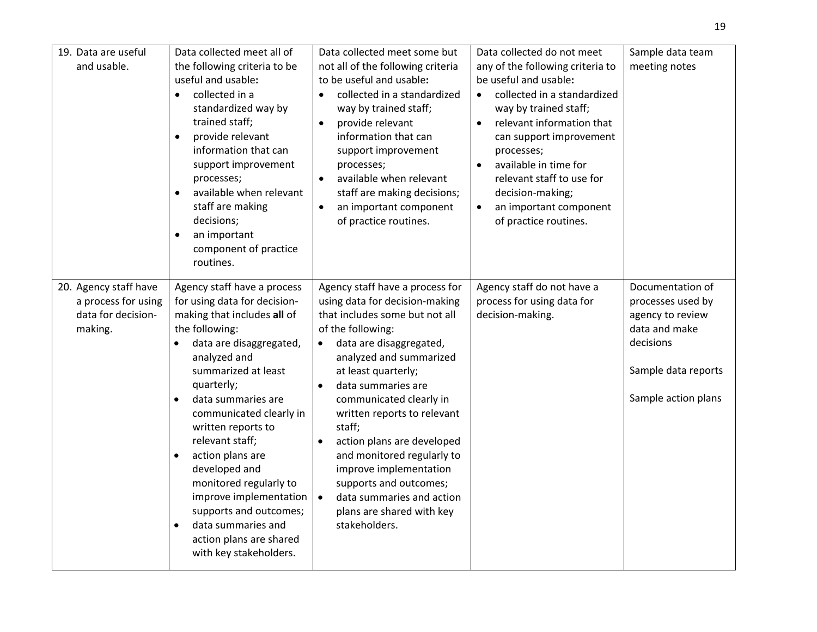| 19. Data are useful<br>and usable.                                            | Data collected meet all of<br>the following criteria to be<br>useful and usable:<br>collected in a<br>$\bullet$<br>standardized way by<br>trained staff;<br>provide relevant<br>$\bullet$<br>information that can<br>support improvement<br>processes;<br>available when relevant<br>$\bullet$<br>staff are making<br>decisions;<br>an important<br>component of practice<br>routines.                                                                                                                                      | Data collected meet some but<br>not all of the following criteria<br>to be useful and usable:<br>collected in a standardized<br>$\bullet$<br>way by trained staff;<br>provide relevant<br>information that can<br>support improvement<br>processes;<br>available when relevant<br>$\bullet$<br>staff are making decisions;<br>an important component<br>$\bullet$<br>of practice routines.                                                                                                                                        | Data collected do not meet<br>any of the following criteria to<br>be useful and usable:<br>collected in a standardized<br>$\bullet$<br>way by trained staff;<br>relevant information that<br>$\bullet$<br>can support improvement<br>processes;<br>available in time for<br>$\bullet$<br>relevant staff to use for<br>decision-making;<br>an important component<br>$\bullet$<br>of practice routines. | Sample data team<br>meeting notes                                                                                                     |
|-------------------------------------------------------------------------------|-----------------------------------------------------------------------------------------------------------------------------------------------------------------------------------------------------------------------------------------------------------------------------------------------------------------------------------------------------------------------------------------------------------------------------------------------------------------------------------------------------------------------------|-----------------------------------------------------------------------------------------------------------------------------------------------------------------------------------------------------------------------------------------------------------------------------------------------------------------------------------------------------------------------------------------------------------------------------------------------------------------------------------------------------------------------------------|--------------------------------------------------------------------------------------------------------------------------------------------------------------------------------------------------------------------------------------------------------------------------------------------------------------------------------------------------------------------------------------------------------|---------------------------------------------------------------------------------------------------------------------------------------|
| 20. Agency staff have<br>a process for using<br>data for decision-<br>making. | Agency staff have a process<br>for using data for decision-<br>making that includes all of<br>the following:<br>data are disaggregated,<br>analyzed and<br>summarized at least<br>quarterly;<br>data summaries are<br>$\bullet$<br>communicated clearly in<br>written reports to<br>relevant staff;<br>action plans are<br>$\bullet$<br>developed and<br>monitored regularly to<br>improve implementation<br>supports and outcomes;<br>data summaries and<br>$\bullet$<br>action plans are shared<br>with key stakeholders. | Agency staff have a process for<br>using data for decision-making<br>that includes some but not all<br>of the following:<br>data are disaggregated,<br>$\bullet$<br>analyzed and summarized<br>at least quarterly;<br>data summaries are<br>communicated clearly in<br>written reports to relevant<br>staff;<br>action plans are developed<br>$\bullet$<br>and monitored regularly to<br>improve implementation<br>supports and outcomes;<br>data summaries and action<br>$\bullet$<br>plans are shared with key<br>stakeholders. | Agency staff do not have a<br>process for using data for<br>decision-making.                                                                                                                                                                                                                                                                                                                           | Documentation of<br>processes used by<br>agency to review<br>data and make<br>decisions<br>Sample data reports<br>Sample action plans |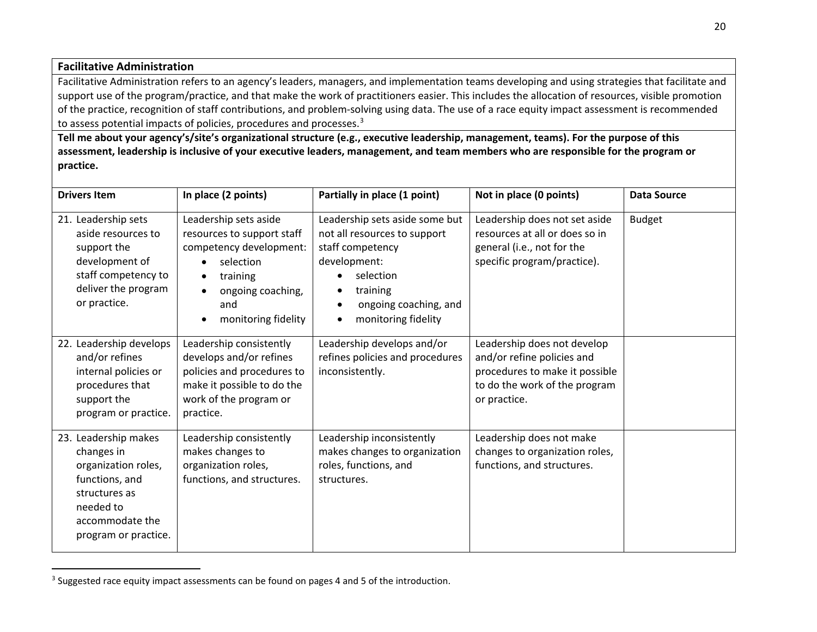#### <span id="page-19-0"></span>**Facilitative Administration**

 $\overline{a}$ 

Facilitative Administration refers to an agency's leaders, managers, and implementation teams developing and using strategies that facilitate and support use of the program/practice, and that make the work of practitioners easier. This includes the allocation of resources, visible promotion of the practice, recognition of staff contributions, and problem-solving using data. The use of a race equity impact assessment is recommended to assess potential impacts of policies, procedures and processes.<sup>[3](#page-19-0)</sup>

**Tell me about your agency's/site's organizational structure (e.g., executive leadership, management, teams). For the purpose of this assessment, leadership is inclusive of your executive leaders, management, and team members who are responsible for the program or practice.** 

| <b>Drivers Item</b>                                                                                                                                  | In place (2 points)                                                                                                                                                                                            | Partially in place (1 point)                                                                                                                                                                                       | Not in place (0 points)                                                                                                                      | <b>Data Source</b> |
|------------------------------------------------------------------------------------------------------------------------------------------------------|----------------------------------------------------------------------------------------------------------------------------------------------------------------------------------------------------------------|--------------------------------------------------------------------------------------------------------------------------------------------------------------------------------------------------------------------|----------------------------------------------------------------------------------------------------------------------------------------------|--------------------|
| 21. Leadership sets<br>aside resources to<br>support the<br>development of<br>staff competency to<br>deliver the program<br>or practice.             | Leadership sets aside<br>resources to support staff<br>competency development:<br>selection<br>$\bullet$<br>training<br>$\bullet$<br>ongoing coaching,<br>$\bullet$<br>and<br>monitoring fidelity<br>$\bullet$ | Leadership sets aside some but<br>not all resources to support<br>staff competency<br>development:<br>selection<br>$\bullet$<br>training<br>ongoing coaching, and<br>$\bullet$<br>monitoring fidelity<br>$\bullet$ | Leadership does not set aside<br>resources at all or does so in<br>general (i.e., not for the<br>specific program/practice).                 | <b>Budget</b>      |
| 22. Leadership develops<br>and/or refines<br>internal policies or<br>procedures that<br>support the<br>program or practice.                          | Leadership consistently<br>develops and/or refines<br>policies and procedures to<br>make it possible to do the<br>work of the program or<br>practice.                                                          | Leadership develops and/or<br>refines policies and procedures<br>inconsistently.                                                                                                                                   | Leadership does not develop<br>and/or refine policies and<br>procedures to make it possible<br>to do the work of the program<br>or practice. |                    |
| 23. Leadership makes<br>changes in<br>organization roles,<br>functions, and<br>structures as<br>needed to<br>accommodate the<br>program or practice. | Leadership consistently<br>makes changes to<br>organization roles,<br>functions, and structures.                                                                                                               | Leadership inconsistently<br>makes changes to organization<br>roles, functions, and<br>structures.                                                                                                                 | Leadership does not make<br>changes to organization roles,<br>functions, and structures.                                                     |                    |

<sup>&</sup>lt;sup>3</sup> Suggested race equity impact assessments can be found on pages 4 and 5 of the introduction.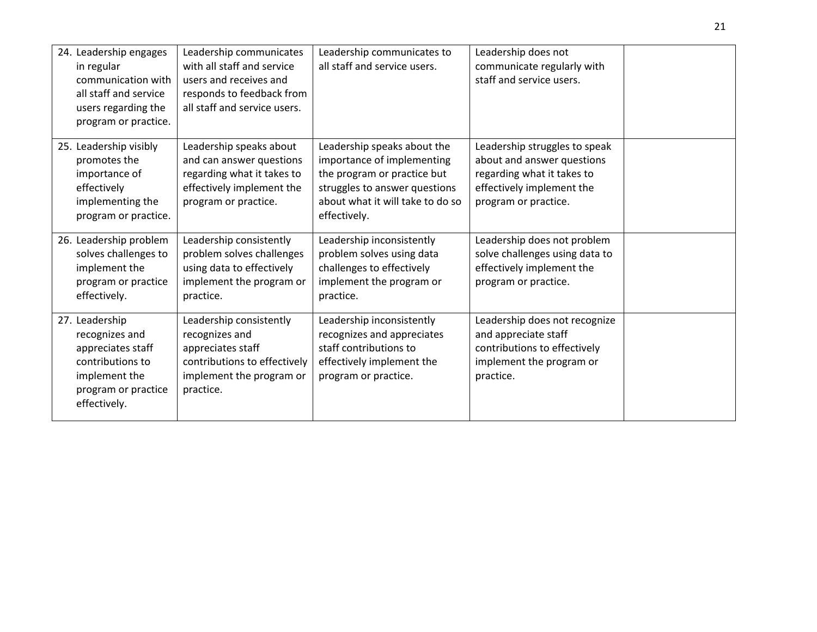| 24. Leadership engages<br>in regular<br>communication with<br>all staff and service<br>users regarding the<br>program or practice. | Leadership communicates<br>with all staff and service<br>users and receives and<br>responds to feedback from<br>all staff and service users. | Leadership communicates to<br>all staff and service users.                                                                                                                    | Leadership does not<br>communicate regularly with<br>staff and service users.                                                                  |  |
|------------------------------------------------------------------------------------------------------------------------------------|----------------------------------------------------------------------------------------------------------------------------------------------|-------------------------------------------------------------------------------------------------------------------------------------------------------------------------------|------------------------------------------------------------------------------------------------------------------------------------------------|--|
| 25. Leadership visibly<br>promotes the<br>importance of<br>effectively<br>implementing the<br>program or practice.                 | Leadership speaks about<br>and can answer questions<br>regarding what it takes to<br>effectively implement the<br>program or practice.       | Leadership speaks about the<br>importance of implementing<br>the program or practice but<br>struggles to answer questions<br>about what it will take to do so<br>effectively. | Leadership struggles to speak<br>about and answer questions<br>regarding what it takes to<br>effectively implement the<br>program or practice. |  |
| 26. Leadership problem<br>solves challenges to<br>implement the<br>program or practice<br>effectively.                             | Leadership consistently<br>problem solves challenges<br>using data to effectively<br>implement the program or<br>practice.                   | Leadership inconsistently<br>problem solves using data<br>challenges to effectively<br>implement the program or<br>practice.                                                  | Leadership does not problem<br>solve challenges using data to<br>effectively implement the<br>program or practice.                             |  |
| 27. Leadership<br>recognizes and<br>appreciates staff<br>contributions to<br>implement the<br>program or practice<br>effectively.  | Leadership consistently<br>recognizes and<br>appreciates staff<br>contributions to effectively<br>implement the program or<br>practice.      | Leadership inconsistently<br>recognizes and appreciates<br>staff contributions to<br>effectively implement the<br>program or practice.                                        | Leadership does not recognize<br>and appreciate staff<br>contributions to effectively<br>implement the program or<br>practice.                 |  |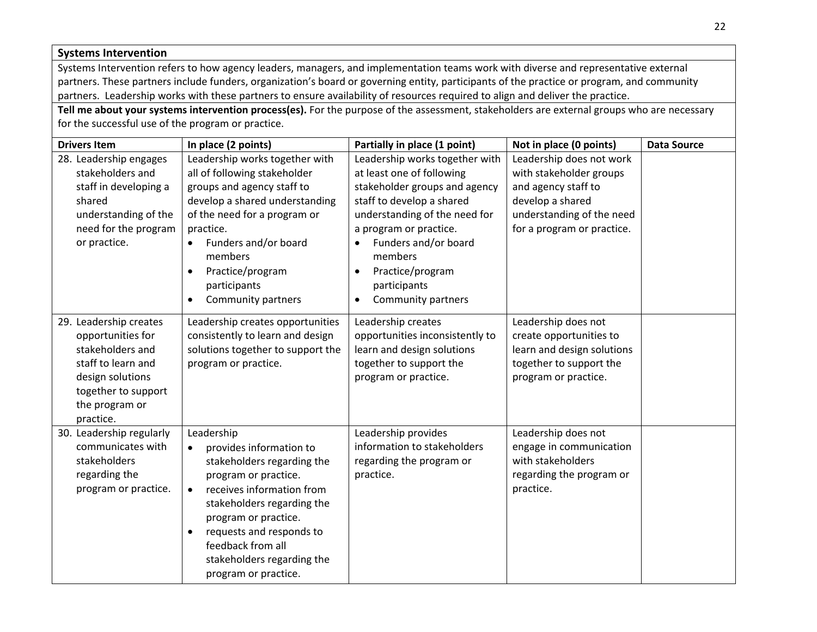| <b>Systems Intervention</b>                                                                                                                                     |                                                                                                                                                                                                                                                                                                                 |                                                                                                                                                                                                                                                                                                                          |                                                                                                                                                           |  |  |  |
|-----------------------------------------------------------------------------------------------------------------------------------------------------------------|-----------------------------------------------------------------------------------------------------------------------------------------------------------------------------------------------------------------------------------------------------------------------------------------------------------------|--------------------------------------------------------------------------------------------------------------------------------------------------------------------------------------------------------------------------------------------------------------------------------------------------------------------------|-----------------------------------------------------------------------------------------------------------------------------------------------------------|--|--|--|
|                                                                                                                                                                 | Systems Intervention refers to how agency leaders, managers, and implementation teams work with diverse and representative external<br>partners. These partners include funders, organization's board or governing entity, participants of the practice or program, and community                               |                                                                                                                                                                                                                                                                                                                          |                                                                                                                                                           |  |  |  |
|                                                                                                                                                                 | partners. Leadership works with these partners to ensure availability of resources required to align and deliver the practice.                                                                                                                                                                                  |                                                                                                                                                                                                                                                                                                                          |                                                                                                                                                           |  |  |  |
|                                                                                                                                                                 | Tell me about your systems intervention process(es). For the purpose of the assessment, stakeholders are external groups who are necessary                                                                                                                                                                      |                                                                                                                                                                                                                                                                                                                          |                                                                                                                                                           |  |  |  |
| for the successful use of the program or practice.                                                                                                              |                                                                                                                                                                                                                                                                                                                 |                                                                                                                                                                                                                                                                                                                          |                                                                                                                                                           |  |  |  |
| <b>Drivers Item</b>                                                                                                                                             | Not in place (0 points)<br><b>Data Source</b><br>In place (2 points)<br>Partially in place (1 point)                                                                                                                                                                                                            |                                                                                                                                                                                                                                                                                                                          |                                                                                                                                                           |  |  |  |
| 28. Leadership engages<br>stakeholders and<br>staff in developing a<br>shared<br>understanding of the<br>need for the program<br>or practice.                   | Leadership works together with<br>all of following stakeholder<br>groups and agency staff to<br>develop a shared understanding<br>of the need for a program or<br>practice.<br>Funders and/or board<br>$\bullet$<br>members<br>Practice/program<br>$\bullet$<br>participants<br>Community partners<br>$\bullet$ | Leadership works together with<br>at least one of following<br>stakeholder groups and agency<br>staff to develop a shared<br>understanding of the need for<br>a program or practice.<br>Funders and/or board<br>$\bullet$<br>members<br>Practice/program<br>$\bullet$<br>participants<br>Community partners<br>$\bullet$ | Leadership does not work<br>with stakeholder groups<br>and agency staff to<br>develop a shared<br>understanding of the need<br>for a program or practice. |  |  |  |
| 29. Leadership creates<br>opportunities for<br>stakeholders and<br>staff to learn and<br>design solutions<br>together to support<br>the program or<br>practice. | Leadership creates opportunities<br>consistently to learn and design<br>solutions together to support the<br>program or practice.                                                                                                                                                                               | Leadership creates<br>opportunities inconsistently to<br>learn and design solutions<br>together to support the<br>program or practice.                                                                                                                                                                                   | Leadership does not<br>create opportunities to<br>learn and design solutions<br>together to support the<br>program or practice.                           |  |  |  |
| 30. Leadership regularly<br>communicates with<br>stakeholders<br>regarding the<br>program or practice.                                                          | Leadership<br>provides information to<br>stakeholders regarding the<br>program or practice.<br>receives information from<br>$\bullet$<br>stakeholders regarding the<br>program or practice.<br>requests and responds to<br>feedback from all<br>stakeholders regarding the<br>program or practice.              | Leadership provides<br>information to stakeholders<br>regarding the program or<br>practice.                                                                                                                                                                                                                              | Leadership does not<br>engage in communication<br>with stakeholders<br>regarding the program or<br>practice.                                              |  |  |  |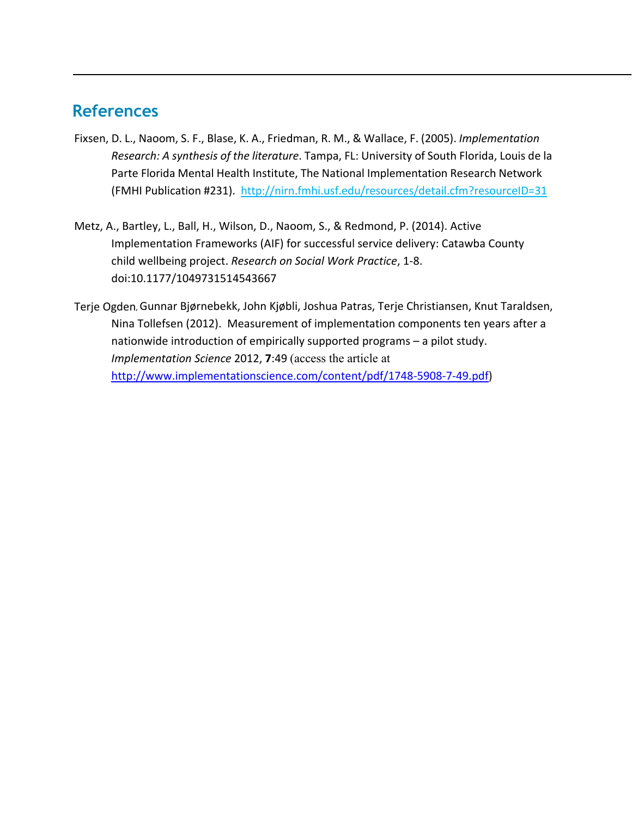## <span id="page-22-0"></span>**References**

- Fixsen, D. L., Naoom, S. F., Blase, K. A., Friedman, R. M., & Wallace, F. (2005). *Implementation Research: A synthesis of the literature*. Tampa, FL: University of South Florida, Louis de la Parte Florida Mental Health Institute, The National Implementation Research Network (FMHI Publication #231). <http://nirn.fmhi.usf.edu/resources/detail.cfm?resourceID=31>
- Metz, A., Bartley, L., Ball, H., Wilson, D., Naoom, S., & Redmond, P. (2014). Active Implementation Frameworks (AIF) for successful service delivery: Catawba County child wellbeing project. *Research on Social Work Practice*, 1-8. doi:10.1177/1049731514543667
- Terje Ogden, Gunnar Bjørnebekk, John Kjøbli, Joshua Patras, Terje Christiansen, Knut Taraldsen, Nina Tollefsen (2012). Measurement of implementation components ten years after a nationwide introduction of empirically supported programs – a pilot study. *Implementation Science* 2012, **7**:49 (access the article at [http://www.implementationscience.com/content/pdf/1748-5908-7-49.pdf\)](http://www.implementationscience.com/content/pdf/1748-5908-7-49.pdf)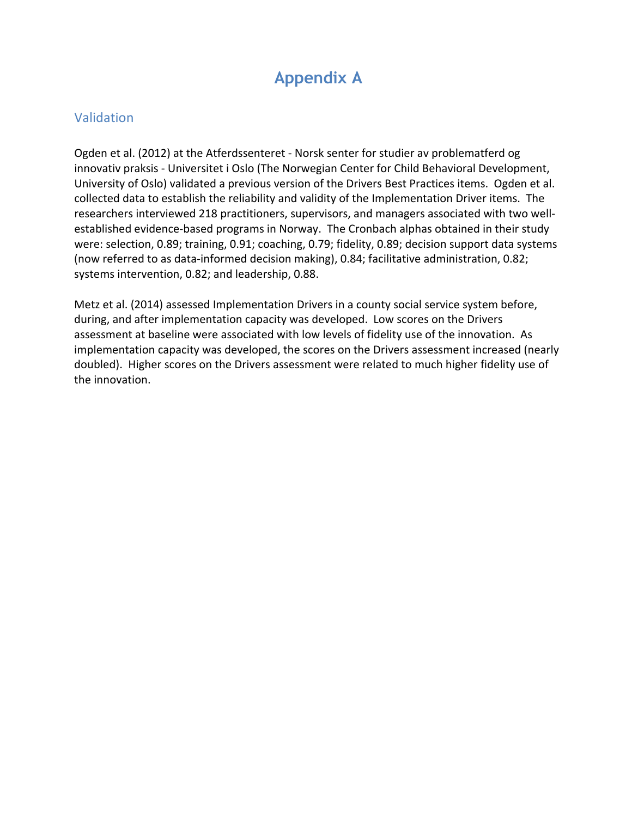## **Appendix A**

### <span id="page-23-1"></span><span id="page-23-0"></span>Validation

Ogden et al. (2012) at the Atferdssenteret - Norsk senter for studier av problematferd og innovativ praksis - Universitet i Oslo (The Norwegian Center for Child Behavioral Development, University of Oslo) validated a previous version of the Drivers Best Practices items. Ogden et al. collected data to establish the reliability and validity of the Implementation Driver items. The researchers interviewed 218 practitioners, supervisors, and managers associated with two wellestablished evidence-based programs in Norway. The Cronbach alphas obtained in their study were: selection, 0.89; training, 0.91; coaching, 0.79; fidelity, 0.89; decision support data systems (now referred to as data-informed decision making), 0.84; facilitative administration, 0.82; systems intervention, 0.82; and leadership, 0.88.

Metz et al. (2014) assessed Implementation Drivers in a county social service system before, during, and after implementation capacity was developed. Low scores on the Drivers assessment at baseline were associated with low levels of fidelity use of the innovation. As implementation capacity was developed, the scores on the Drivers assessment increased (nearly doubled). Higher scores on the Drivers assessment were related to much higher fidelity use of the innovation.